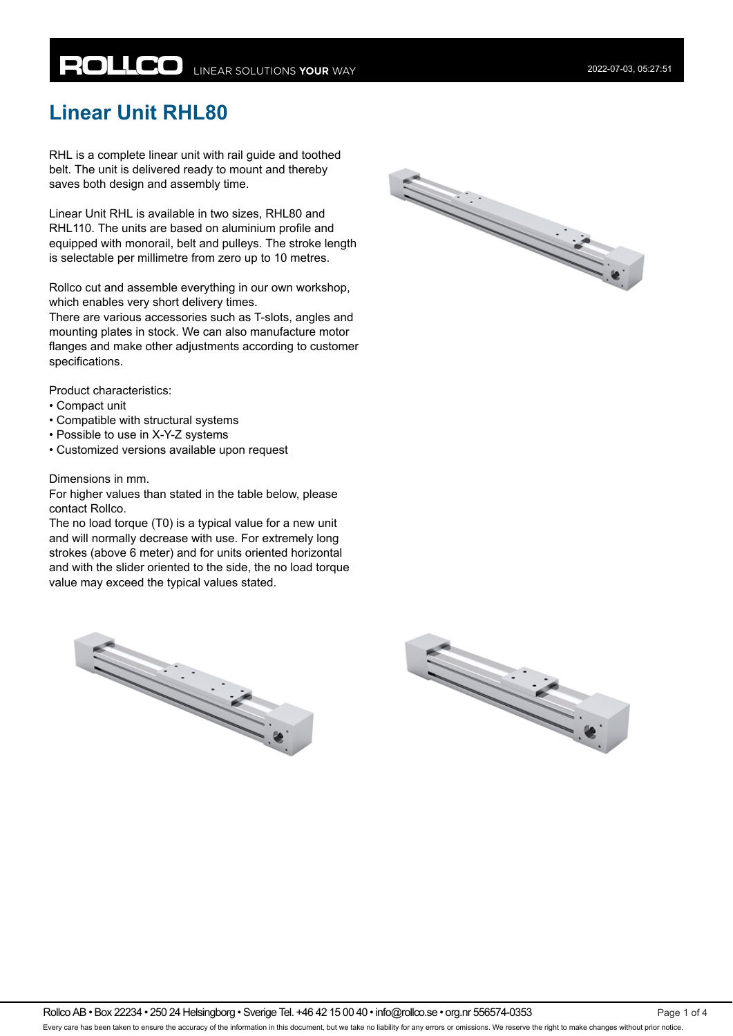# **ROLLCO** LINEAR SOLUTIONS YOUR WAY

# **Linear Unit RHL80**

RHL is a complete linear unit with rail guide and toothed belt. The unit is delivered ready to mount and thereby saves both design and assembly time.

Linear Unit RHL is available in two sizes, RHL80 and RHL110. The units are based on aluminium profile and equipped with monorail, belt and pulleys. The stroke length is selectable per millimetre from zero up to 10 metres.

Rollco cut and assemble everything in our own workshop, which enables very short delivery times.

There are various accessories such as T-slots, angles and mounting plates in stock. We can also manufacture motor flanges and make other adjustments according to customer specifications.

Product characteristics:

- Compact unit
- Compatible with structural systems
- Possible to use in X-Y-Z systems
- Customized versions available upon request

#### Dimensions in mm.

For higher values than stated in the table below, please contact Rollco.

The no load torque (T0) is a typical value for a new unit and will normally decrease with use. For extremely long strokes (above 6 meter) and for units oriented horizontal and with the slider oriented to the side, the no load torque value may exceed the typical values stated.





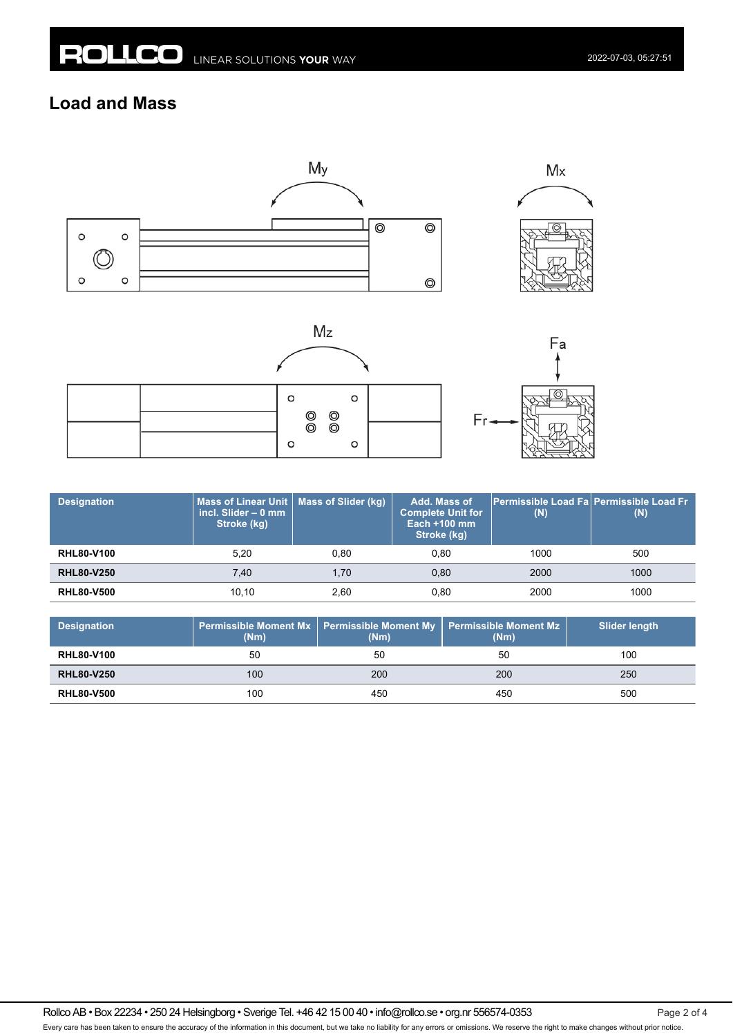### **Load and Mass**









| <b>Designation</b> | Mass of Linear Unit   Mass of Slider (kg)<br>incl. Slider $-0$ mm<br>Stroke (kg) |      | Add. Mass of<br><b>Complete Unit for</b><br>Each $+100$ mm<br>Stroke (kg) | (N)  | Permissible Load Fa Permissible Load Fr<br>(N) |
|--------------------|----------------------------------------------------------------------------------|------|---------------------------------------------------------------------------|------|------------------------------------------------|
| <b>RHL80-V100</b>  | 5.20                                                                             | 0.80 | 0.80                                                                      | 1000 | 500                                            |
| <b>RHL80-V250</b>  | 7.40                                                                             | 1.70 | 0.80                                                                      | 2000 | 1000                                           |
| <b>RHL80-V500</b>  | 10.10                                                                            | 2.60 | 0,80                                                                      | 2000 | 1000                                           |

| <b>Designation</b> | (Nm) | Permissible Moment Mx   Permissible Moment My   Permissible Moment Mz<br>(Nm) | (Nm) | <b>Slider length</b> |
|--------------------|------|-------------------------------------------------------------------------------|------|----------------------|
| <b>RHL80-V100</b>  | 50   | 50                                                                            | 50   | 100                  |
| <b>RHL80-V250</b>  | 100  | 200                                                                           | 200  | 250                  |
| <b>RHL80-V500</b>  | 100  | 450                                                                           | 450  | 500                  |

Rollco AB • Box 22234 • 250 24 Helsingborg • Sverige Tel. +46 42 15 00 40 • info@rollco.se • org.nr 556574-0353 Page 2 of 4 Every care has been taken to ensure the accuracy of the information in this document, but we take no liability for any errors or omissions. We reserve the right to make changes without prior notice.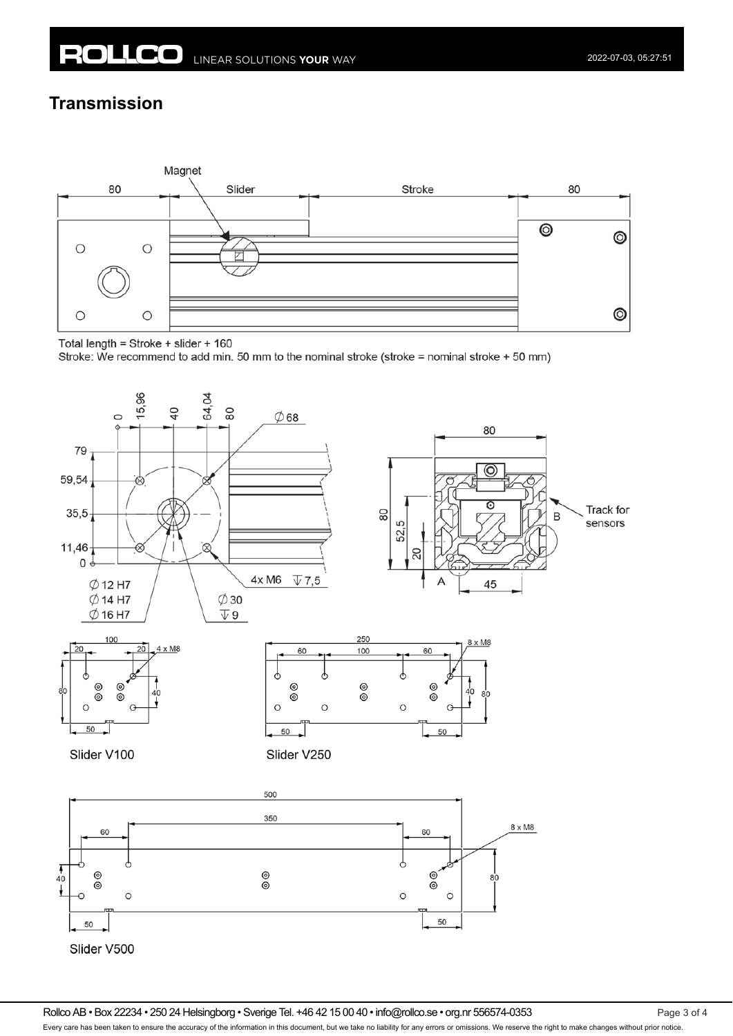## **Transmission**



Total length = Stroke + slider + 160

Stroke: We recommend to add min. 50 mm to the nominal stroke (stroke = nominal stroke + 50 mm)



Rollco AB • Box 22234 • 250 24 Helsingborg • Sverige Tel. +46 42 15 00 40 • info@rollco.se • org.nr 556574-0353 Page 3 of 4